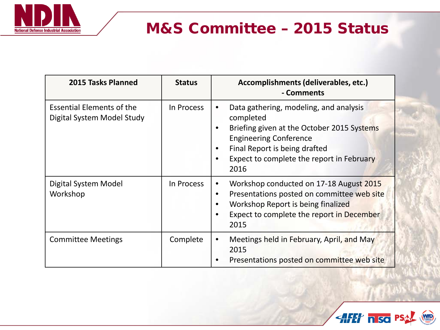

# M&S Committee – 2015 Status

| 2015 Tasks Planned                                             | <b>Status</b> | Accomplishments (deliverables, etc.)<br>- Comments                                                                                                                                                                       |
|----------------------------------------------------------------|---------------|--------------------------------------------------------------------------------------------------------------------------------------------------------------------------------------------------------------------------|
| <b>Essential Elements of the</b><br>Digital System Model Study | In Process    | Data gathering, modeling, and analysis<br>completed<br>Briefing given at the October 2015 Systems<br><b>Engineering Conference</b><br>Final Report is being drafted<br>Expect to complete the report in February<br>2016 |
| Digital System Model<br>Workshop                               | In Process    | Workshop conducted on 17-18 August 2015<br>Presentations posted on committee web site<br>٠<br>Workshop Report is being finalized<br>Expect to complete the report in December<br>2015                                    |
| <b>Committee Meetings</b>                                      | Complete      | Meetings held in February, April, and May<br>$\bullet$<br>2015<br>Presentations posted on committee web site                                                                                                             |